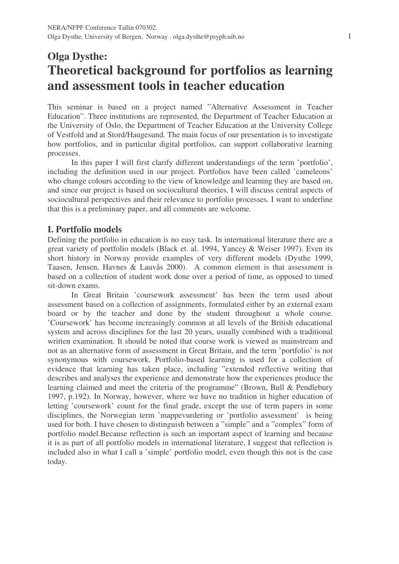# **Olga Dysthe: Theoretical background for portfolios as learning and assessment tools in teacher education**

This seminar is based on a project named "Alternative Assessment in Teacher Education". Three institutions are represented, the Department of Teacher Education at the University of Oslo, the Department of Teacher Education at the University College of Vestfold and at Stord/Haugesund. The main focus of our presentation is to investigate how portfolios, and in particular digital portfolios, can support collaborative learning processes.

In this paper I will first clarify different understandings of the term 'portfolio', including the definition used in our project. Portfolios have been called 'cameleons' who change colours according to the view of knowledge and learning they are based on, and since our project is based on sociocultural theories, I will discuss central aspects of sociocultural perspectives and their relevance to portfolio processes. I want to underline that this is a preliminary paper, and all comments are welcome.

## **I. Portfolio models**

Defining the portfolio in education is no easy task. In international literature there are a great variety of portfolio models (Black et. al. 1994, Yancey & Weiser 1997). Even its short history in Norway provide examples of very different models (Dysthe 1999, Taasen, Jensen, Havnes & Lauvås 2000). A common element is that assessment is based on a collection of student work done over a period of time, as opposed to timed sit-down exams.

In Great Britain 'coursework assessment' has been the term used about assessment based on a collection of assignments, formulated either by an external exam board or by the teacher and done by the student throughout a whole course. 'Coursework' has become increasingly common at all levels of the British educational system and across disciplines for the last 20 years, usually combined with a traditional written examination. It should be noted that course work is viewed as mainstream and not as an alternative form of assessment in Great Britain, and the term 'portfolio' is not synonymous with coursework. Portfolio-based learning is used for a collection of evidence that learning has taken place, including "extended reflective writing that describes and analyses the experience and demonstrate how the experiences produce the learning claimed and meet the criteria of the programme" (Brown, Bull & Pendlebury 1997, p.192). In Norway, however, where we have no tradition in higher education of letting 'coursework' count for the final grade, except the use of term papers in some disciplines, the Norwegian term 'mappevurdering or 'portfolio assessment' is being used for both. I have chosen to distinguish between a "simple" and a "complex" form of portfolio model.Because reflection is such an important aspect of learning and because it is as part of all portfolio models in international literature, I suggest that reflection is included also in what I call a 'simple' portfolio model, even though this not is the case today.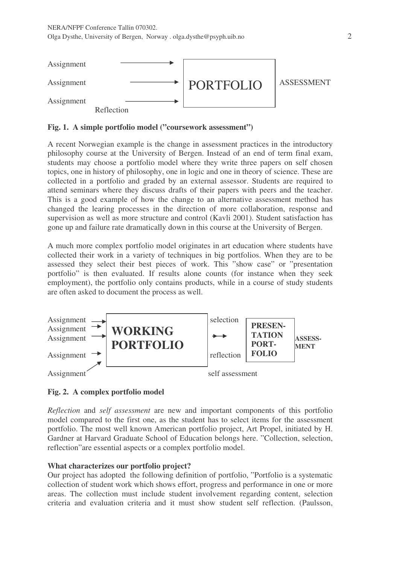

**Fig. 1. A simple portfolio model ("coursework assessment")**

A recent Norwegian example is the change in assessment practices in the introductory philosophy course at the University of Bergen. Instead of an end of term final exam, students may choose a portfolio model where they write three papers on self chosen topics, one in history of philosophy, one in logic and one in theory of science. These are collected in a portfolio and graded by an external assessor. Students are required to attend seminars where they discuss drafts of their papers with peers and the teacher. This is a good example of how the change to an alternative assessment method has changed the learing processes in the direction of more collaboration, response and supervision as well as more structure and control (Kavli 2001). Student satisfaction has gone up and failure rate dramatically down in this course at the University of Bergen.

A much more complex portfolio model originates in art education where students have collected their work in a variety of techniques in big portfolios. When they are to be assessed they select their best pieces of work. This "show case" or "presentation portfolio" is then evaluated. If results alone counts (for instance when they seek employment), the portfolio only contains products, while in a course of study students are often asked to document the process as well.



## **Fig. 2. A complex portfolio model**

*Reflection* and *self assessment* are new and important components of this portfolio model compared to the first one, as the student has to select items for the assessment portfolio. The most well known American portfolio project, Art Propel, initiated by H. Gardner at Harvard Graduate School of Education belongs here. "Collection, selection, reflection"are essential aspects or a complex portfolio model.

## **What characterizes our portfolio project?**

Our project has adopted the following definition of portfolio, "Portfolio is a systematic collection of student work which shows effort, progress and performance in one or more areas. The collection must include student involvement regarding content, selection criteria and evaluation criteria and it must show student self reflection. (Paulsson,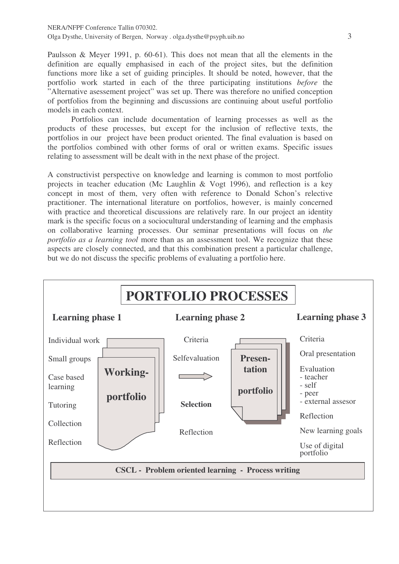Paulsson & Meyer 1991, p. 60-61). This does not mean that all the elements in the definition are equally emphasised in each of the project sites, but the definition functions more like a set of guiding principles. It should be noted, however, that the portfolio work started in each of the three participating institutions *before* the "Alternative asessement project" was set up. There was therefore no unified conception of portfolios from the beginning and discussions are continuing about useful portfolio models in each context.

Portfolios can include documentation of learning processes as well as the products of these processes, but except for the inclusion of reflective texts, the portfolios in our project have been product oriented. The final evaluation is based on the portfolios combined with other forms of oral or written exams. Specific issues relating to assessment will be dealt with in the next phase of the project.

A constructivist perspective on knowledge and learning is common to most portfolio projects in teacher education (Mc Laughlin & Vogt 1996), and reflection is a key concept in most of them, very often with reference to Donald Schon's relective practitioner. The international literature on portfolios, however, is mainly concerned with practice and theoretical discussions are relatively rare. In our project an identity mark is the specific focus on a sociocultural understanding of learning and the emphasis on collaborative learning processes. Our seminar presentations will focus on *the portfolio as a learning tool* more than as an assessment tool. We recognize that these aspects are closely connected, and that this combination present a particular challenge, but we do not discuss the specific problems of evaluating a portfolio here.

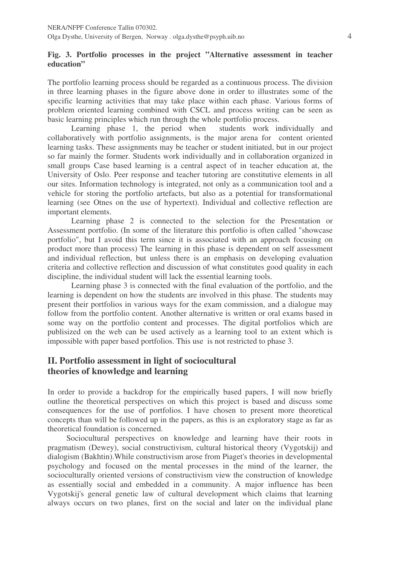### **Fig. 3. Portfolio processes in the project "Alternative assessment in teacher education"**

The portfolio learning process should be regarded as a continuous process. The division in three learning phases in the figure above done in order to illustrates some of the specific learning activities that may take place within each phase. Various forms of problem oriented learning combined with CSCL and process writing can be seen as basic learning principles which run through the whole portfolio process.

Learning phase 1, the period when students work individually and collaboratively with portfolio assignments, is the major arena for content oriented learning tasks. These assignments may be teacher or student initiated, but in our project so far mainly the former. Students work individually and in collaboration organized in small groups Case based learning is a central aspect of in teacher education at, the University of Oslo. Peer response and teacher tutoring are constitutive elements in all our sites. Information technology is integrated, not only as a communication tool and a vehicle for storing the portfolio artefacts, but also as a potential for transformational learning (see Otnes on the use of hypertext). Individual and collective reflection are important elements.

Learning phase 2 is connected to the selection for the Presentation or Assessment portfolio. (In some of the literature this portfolio is often called "showcase portfolio", but I avoid this term since it is associated with an approach focusing on product more than process) The learning in this phase is dependent on self assessment and individual reflection, but unless there is an emphasis on developing evaluation criteria and collective reflection and discussion of what constitutes good quality in each discipline, the individual student will lack the essential learning tools.

Learning phase 3 is connected with the final evaluation of the portfolio, and the learning is dependent on how the students are involved in this phase. The students may present their portfolios in various ways for the exam commission, and a dialogue may follow from the portfolio content. Another alternative is written or oral exams based in some way on the portfolio content and processes. The digital portfolios which are publisized on the web can be used actively as a learning tool to an extent which is impossible with paper based portfolios. This use is not restricted to phase 3.

## **II. Portfolio assessment in light of sociocultural theories of knowledge and learning**

In order to provide a backdrop for the empirically based papers, I will now briefly outline the theoretical perspectives on which this project is based and discuss some consequences for the use of portfolios. I have chosen to present more theoretical concepts than will be followed up in the papers, as this is an exploratory stage as far as theoretical foundation is concerned.

Sociocultural perspectives on knowledge and learning have their roots in pragmatism (Dewey), social constructivism, cultural historical theory (Vygotskij) and dialogism (Bakhtin).While constructivism arose from Piaget's theories in developmental psychology and focused on the mental processes in the mind of the learner, the socioculturally oriented versions of constructivism view the construction of knowledge as essentially social and embedded in a community. A major influence has been Vygotskij's general genetic law of cultural development which claims that learning always occurs on two planes, first on the social and later on the individual plane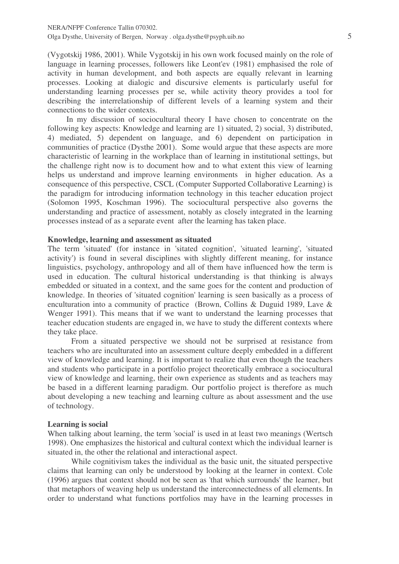(Vygotskij 1986, 2001). While Vygotskij in his own work focused mainly on the role of language in learning processes, followers like Leont'ev (1981) emphasised the role of activity in human development, and both aspects are equally relevant in learning processes. Looking at dialogic and discursive elements is particularly useful for understanding learning processes per se, while activity theory provides a tool for describing the interrelationship of different levels of a learning system and their connections to the wider contexts.

In my discussion of sociocultural theory I have chosen to concentrate on the following key aspects: Knowledge and learning are 1) situated, 2) social, 3) distributed, 4) mediated, 5) dependent on language, and 6) dependent on participation in communities of practice (Dysthe 2001). Some would argue that these aspects are more characteristic of learning in the workplace than of learning in institutional settings, but the challenge right now is to document how and to what extent this view of learning helps us understand and improve learning environments in higher education. As a consequence of this perspective, CSCL (Computer Supported Collaborative Learning) is the paradigm for introducing information technology in this teacher education project (Solomon 1995, Koschman 1996). The sociocultural perspective also governs the understanding and practice of assessment, notably as closely integrated in the learning processes instead of as a separate event after the learning has taken place.

#### **Knowledge, learning and assessment as situated**

The term 'situated'(for instance in 'sitated cognition', 'situated learning', 'situated activity') is found in several disciplines with slightly different meaning, for instance linguistics, psychology, anthropology and all of them have influenced how the term is used in education. The cultural historical understanding is that thinking is always embedded or situated in a context, and the same goes for the content and production of knowledge. In theories of 'situated cognition' learning is seen basically as a process of enculturation into a community of practice (Brown, Collins & Duguid 1989, Lave & Wenger 1991). This means that if we want to understand the learning processes that teacher education students are engaged in, we have to study the different contexts where they take place.

From a situated perspective we should not be surprised at resistance from teachers who are inculturated into an assessment culture deeply embedded in a different view of knowledge and learning. It is important to realize that even though the teachers and students who participate in a portfolio project theoretically embrace a sociocultural view of knowledge and learning, their own experience as students and as teachers may be based in a different learning paradigm. Our portfolio project is therefore as much about developing a new teaching and learning culture as about assessment and the use of technology.

#### **Learning is social**

When talking about learning, the term 'social' is used in at least two meanings (Wertsch 1998). One emphasizes the historical and cultural context which the individual learner is situated in, the other the relational and interactional aspect.

While cognitivism takes the individual as the basic unit, the situated perspective claims that learning can only be understood by looking at the learner in context. Cole (1996) argues that context should not be seen as 'that which surrounds'the learner, but that metaphors of weaving help us understand the interconnectedness of all elements. In order to understand what functions portfolios may have in the learning processes in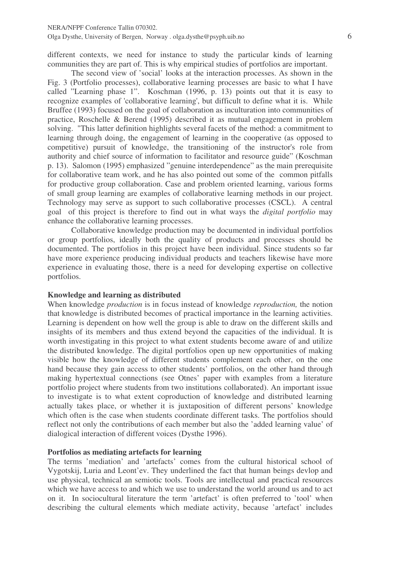different contexts, we need for instance to study the particular kinds of learning communities they are part of. This is why empirical studies of portfolios are important.

The second view of 'social' looks at the interaction processes. As shown in the Fig. 3 (Portfolio processes), collaborative learning processes are basic to what I have called "Learning phase 1". Koschman (1996, p. 13) points out that it is easy to recognize examples of 'collaborative learning', but difficult to define what it is. While Bruffee (1993) focused on the goal of collaboration as inculturation into communities of practice, Roschelle & Berend (1995) described it as mutual engagement in problem solving. "This latter definition highlights several facets of the method: a commitment to learning through doing, the engagement of learning in the cooperative (as opposed to competitive) pursuit of knowledge, the transitioning of the instructor's role from authority and chief source of information to facilitator and resource guide" (Koschman p. 13). Salomon (1995) emphasized "genuine interdependence" as the main prerequisite for collaborative team work, and he has also pointed out some of the common pitfalls for productive group collaboration. Case and problem oriented learning, various forms of small group learning are examples of collaborative learning methods in our project. Technology may serve as support to such collaborative processes (CSCL). A central goal of this project is therefore to find out in what ways the *digital portfolio* may enhance the collaborative learning processes.

Collaborative knowledge production may be documented in individual portfolios or group portfolios, ideally both the quality of products and processes should be documented. The portfolios in this project have been individual. Since students so far have more experience producing individual products and teachers likewise have more experience in evaluating those, there is a need for developing expertise on collective portfolios.

#### **Knowledge and learning as distributed**

When knowledge *production* is in focus instead of knowledge *reproduction,* the notion that knowledge is distributed becomes of practical importance in the learning activities. Learning is dependent on how well the group is able to draw on the different skills and insights of its members and thus extend beyond the capacities of the individual. It is worth investigating in this project to what extent students become aware of and utilize the distributed knowledge. The digital portfolios open up new opportunities of making visible how the knowledge of different students complement each other, on the one hand because they gain access to other students' portfolios, on the other hand through making hypertextual connections (see Otnes' paper with examples from a literature portfolio project where students from two institutions collaborated). An important issue to investigate is to what extent coproduction of knowledge and distributed learning actually takes place, or whether it is juxtaposition of different persons' knowledge which often is the case when students coordinate different tasks. The portfolios should reflect not only the contributions of each member but also the 'added learning value' of dialogical interaction of different voices (Dysthe 1996).

## **Portfolios as mediating artefacts for learning**

The terms 'mediation' and 'artefacts' comes from the cultural historical school of Vygotskij, Luria and Leont'ev. They underlined the fact that human beings devlop and use physical, technical an semiotic tools. Tools are intellectual and practical resources which we have access to and which we use to understand the world around us and to act on it. In sociocultural literature the term 'artefact' is often preferred to 'tool' when describing the cultural elements which mediate activity, because 'artefact' includes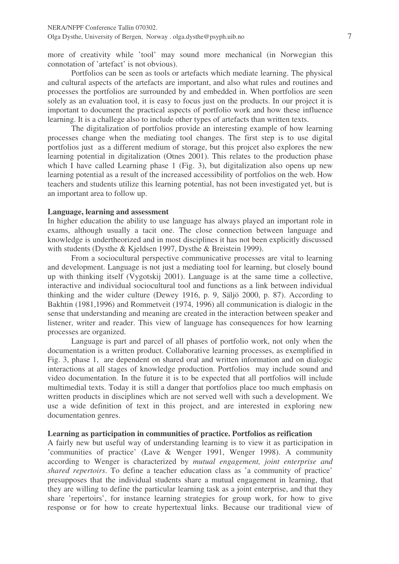more of creativity while 'tool' may sound more mechanical (in Norwegian this connotation of 'artefact' is not obvious).

Portfolios can be seen as tools or artefacts which mediate learning. The physical and cultural aspects of the artefacts are important, and also what rules and routines and processes the portfolios are surrounded by and embedded in. When portfolios are seen solely as an evaluation tool, it is easy to focus just on the products. In our project it is important to document the practical aspects of portfolio work and how these influence learning. It is a challege also to include other types of artefacts than written texts.

The digitalization of portfolios provide an interesting example of how learning processes change when the mediating tool changes. The first step is to use digital portfolios just as a different medium of storage, but this projcet also explores the new learning potential in digitalization (Otnes 2001). This relates to the production phase which I have called Learning phase 1 (Fig. 3), but digitalization also opens up new learning potential as a result of the increased accessibility of portfolios on the web. How teachers and students utilize this learning potential, has not been investigated yet, but is an important area to follow up.

#### **Language, learning and assessment**

In higher education the ability to use language has always played an important role in exams, although usually a tacit one. The close connection between language and knowledge is undertheorized and in most disciplines it has not been explicitly discussed with students (Dysthe & Kjeldsen 1997, Dysthe & Breistein 1999).

From a sociocultural perspective communicative processes are vital to learning and development. Language is not just a mediating tool for learning, but closely bound up with thinking itself (Vygotskij 2001). Language is at the same time a collective, interactive and individual sociocultural tool and functions as a link between individual thinking and the wider culture (Dewey 1916, p. 9, Säljö 2000, p. 87). According to Bakhtin (1981,1996) and Rommetveit (1974, 1996) all communication is dialogic in the sense that understanding and meaning are created in the interaction between speaker and listener, writer and reader. This view of language has consequences for how learning processes are organized.

Language is part and parcel of all phases of portfolio work, not only when the documentation is a written product. Collaborative learning processes, as exemplified in Fig. 3, phase 1, are dependent on shared oral and written information and on dialogic interactions at all stages of knowledge production. Portfolios may include sound and video documentation. In the future it is to be expected that all portfolios will include multimedial texts. Today it is still a danger that portfolios place too much emphasis on written products in disciplines which are not served well with such a development. We use a wide definition of text in this project, and are interested in exploring new documentation genres.

#### **Learning as participation in communities of practice. Portfolios as reification**

A fairly new but useful way of understanding learning is to view it as participation in 'communities of practice' (Lave & Wenger 1991, Wenger 1998). A community according to Wenger is characterized by *mutual engagement, joint enterprise and shared repertoirs*. To define a teacher education class as 'a community of practice' presupposes that the individual students share a mutual engagement in learning, that they are willing to define the particular learning task as a joint enterprise, and that they share 'repertoirs', for instance learning strategies for group work, for how to give response or for how to create hypertextual links. Because our traditional view of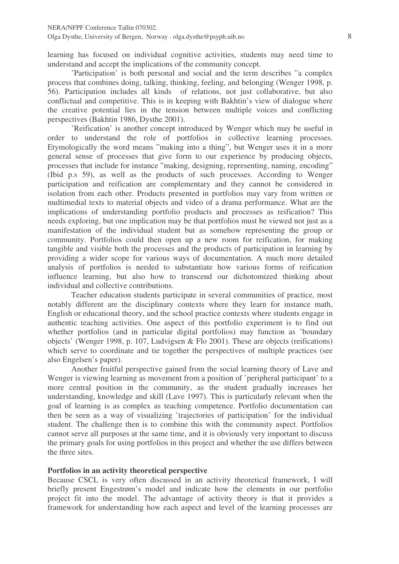learning has focused on individual cognitive activities, students may need time to understand and accept the implications of the community concept.

'Participation' is both personal and social and the term describes "a complex process that combines doing, talking, thinking, feeling, and belonging (Wenger 1998, p. 56). Participation includes all kinds of relations, not just collaborative, but also conflictual and competitive. This is in keeping with Bakhtin's view of dialogue where the creative potential lies in the tension between multiple voices and conflicting perspectives (Bakhtin 1986, Dysthe 2001).

'Reification' is another concept introduced by Wenger which may be useful in order to understand the role of portfolios in collective learning processes. Etymologically the word means "making into a thing", but Wenger uses it in a more general sense of processes that give form to our experience by producing objects, processes that include for instance "making, designing, representing, naming, encoding" (Ibid p.s 59), as well as the products of such processes. According to Wenger participation and reification are complementary and they cannot be considered in isolation from each other. Products presented in portfolios may vary from written or multimedial texts to material objects and video of a drama performance. What are the implications of understanding portfolio products and processes as reification? This needs exploring, but one implication may be that portfolios must be viewed not just as a manifestation of the individual student but as somehow representing the group or community. Portfolios could then open up a new room for reification, for making tangible and visible both the processes and the products of participation in learning by providing a wider scope for various ways of documentation. A much more detailed analysis of portfolios is needed to substantiate how various forms of reification influence learning, but also how to transcend our dichotomized thinking about individual and collective contributions.

Teacher education students participate in several communities of practice, most notably different are the disciplinary contexts where they learn for instance math, English or educational theory, and the school practice contexts where students engage in authentic teaching activities. One aspect of this portfolio experiment is to find out whether portfolios (and in particular digital portfolios) may function as 'boundary objects' (Wenger 1998, p. 107, Ludvigsen & Flo 2001). These are objects (reifications) which serve to coordinate and tie together the perspectives of multiple practices (see also Engelsen's paper).

Another fruitful perspective gained from the social learning theory of Lave and Wenger is viewing learning as movement from a position of 'peripheral participant' to a more central position in the community, as the student gradually increases her understanding, knowledge and skill (Lave 1997). This is particularly relevant when the goal of learning is as complex as teaching competence. Portfolio documentation can then be seen as a way of visualizing 'trajectories of participation' for the individual student. The challenge then is to combine this with the community aspect. Portfolios cannot serve all purposes at the same time, and it is obviously very important to discuss the primary goals for using portfolios in this project and whether the use differs between the three sites.

#### **Portfolios in an activity theoretical perspective**

Because CSCL is very often discussed in an activity theoretical framework, I will briefly present Engestrøm's model and indicate how the elements in our portfolio project fit into the model. The advantage of activity theory is that it provides a framework for understanding how each aspect and level of the learning processes are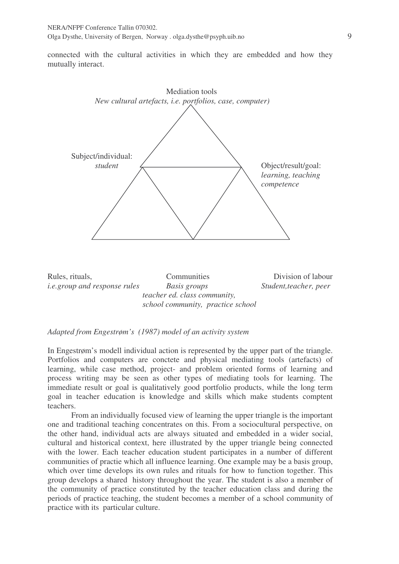connected with the cultural activities in which they are embedded and how they mutually interact.



#### *Adapted from Engestrøm's (1987) model of an activity system*

In Engestrøm's modell individual action is represented by the upper part of the triangle. Portfolios and computers are conctete and physical mediating tools (artefacts) of learning, while case method, project- and problem oriented forms of learning and process writing may be seen as other types of mediating tools for learning. The immediate result or goal is qualitatively good portfolio products, while the long term goal in teacher education is knowledge and skills which make students comptent teachers.

From an individually focused view of learning the upper triangle is the important one and traditional teaching concentrates on this. From a sociocultural perspective, on the other hand, individual acts are always situated and embedded in a wider social, cultural and historical context, here illustrated by the upper triangle being connected with the lower. Each teacher education student participates in a number of different communities of practie which all influence learning. One example may be a basis group, which over time develops its own rules and rituals for how to function together. This group develops a shared history throughout the year. The student is also a member of the community of practice constituted by the teacher education class and during the periods of practice teaching, the student becomes a member of a school community of practice with its particular culture.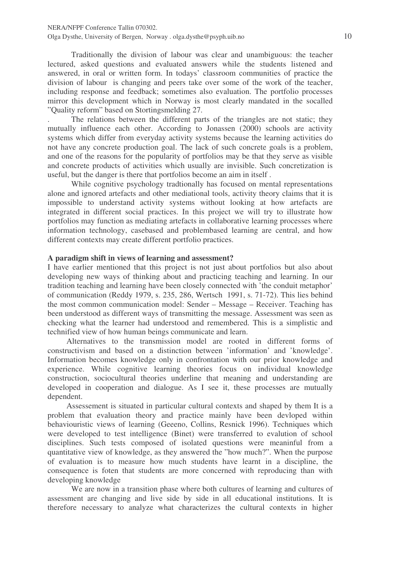Traditionally the division of labour was clear and unambiguous: the teacher lectured, asked questions and evaluated answers while the students listened and answered, in oral or written form. In todays' classroom communities of practice the division of labour is changing and peers take over some of the work of the teacher, including response and feedback; sometimes also evaluation. The portfolio processes mirror this development which in Norway is most clearly mandated in the socalled "Quality reform" based on Stortingsmelding 27.

. The relations between the different parts of the triangles are not static; they mutually influence each other. According to Jonassen (2000) schools are activity systems which differ from everyday activity systems because the learning activities do not have any concrete production goal. The lack of such concrete goals is a problem, and one of the reasons for the popularity of portfolios may be that they serve as visible and concrete products of activities which usually are invisible. Such concretization is useful, but the danger is there that portfolios become an aim in itself .

While cognitive psychology tradtionally has focused on mental representations alone and ignored artefacts and other mediational tools, activity theory claims that it is impossible to understand activity systems without looking at how artefacts are integrated in different social practices. In this project we will try to illustrate how portfolios may function as mediating artefacts in collaborative learning processes where information technology, casebased and problembased learning are central, and how different contexts may create different portfolio practices.

#### **A paradigm shift in views of learning and assessment?**

I have earlier mentioned that this project is not just about portfolios but also about developing new ways of thinking about and practicing teaching and learning. In our tradition teaching and learning have been closely connected with 'the conduit metaphor' of communication (Reddy 1979, s. 235, 286, Wertsch 1991, s. 71-72). This lies behind the most common communication model: Sender – Message – Receiver. Teaching has been understood as different ways of transmitting the message. Assessment was seen as checking what the learner had understood and remembered. This is a simplistic and technified view of how human beings communicate and learn.

Alternatives to the transmission model are rooted in different forms of constructivism and based on a distinction between 'information' and 'knowledge'. Information becomes knowledge only in confrontation with our prior knowledge and experience. While cognitive learning theories focus on individual knowledge construction, sociocultural theories underline that meaning and understanding are developed in cooperation and dialogue. As I see it, these processes are mutually dependent.

Assessement is situated in particular cultural contexts and shaped by them It is a problem that evaluation theory and practice mainly have been devloped within behaviouristic views of learning (Geeeno, Collins, Resnick 1996). Techniques which were developed to test intelligence (Binet) were transferred to evalution of school disciplines. Such tests composed of isolated questions were meaninful from a quantitative view of knowledge, as they answered the "how much?". When the purpose of evaluation is to measure how much students have learnt in a discipline, the consequence is foten that students are more concerned with reproducing than with developing knowledge

We are now in a transition phase where both cultures of learning and cultures of assessment are changing and live side by side in all educational institutions. It is therefore necessary to analyze what characterizes the cultural contexts in higher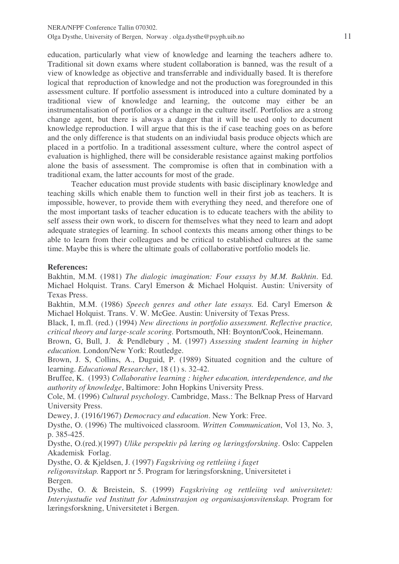education, particularly what view of knowledge and learning the teachers adhere to. Traditional sit down exams where student collaboration is banned, was the result of a view of knowledge as objective and transferrable and individually based. It is therefore logical that reproduction of knowledge and not the production was foregrounded in this assessment culture. If portfolio assessment is introduced into a culture dominated by a traditional view of knowledge and learning, the outcome may either be an instrumentalisation of portfolios or a change in the culture itself. Portfolios are a strong change agent, but there is always a danger that it will be used only to document knowledge reproduction. I will argue that this is the if case teaching goes on as before and the only difference is that students on an indiviudal basis produce objects which are placed in a portfolio. In a traditional assessment culture, where the control aspect of evaluation is highlighed, there will be considerable resistance against making portfolios alone the basis of assessment. The compromise is often that in combination with a traditional exam, the latter accounts for most of the grade.

Teacher education must provide students with basic disciplinary knowledge and teaching skills which enable them to function well in their first job as teachers. It is impossible, however, to provide them with everything they need, and therefore one of the most important tasks of teacher education is to educate teachers with the ability to self assess their own work, to discern for themselves what they need to learn and adopt adequate strategies of learning. In school contexts this means among other things to be able to learn from their colleagues and be critical to established cultures at the same time. Maybe this is where the ultimate goals of collaborative portfolio models lie.

#### **References:**

Bakhtin, M.M. (1981) *The dialogic imagination: Four essays by M.M. Bakhtin*. Ed. Michael Holquist. Trans. Caryl Emerson & Michael Holquist. Austin: University of Texas Press.

Bakhtin, M.M. (1986) *Speech genres and other late essays.* Ed. Caryl Emerson & Michael Holquist. Trans. V. W. McGee. Austin: University of Texas Press.

Black, I, m.fl. (red.) (1994) *New directions in portfolio assessment. Reflective practice, critical theory and large-scale scoring.* Portsmouth, NH: Boynton/Cook, Heinemann.

Brown, G, Bull, J. & Pendlebury , M. (1997) *Assessing student learning in higher education.* London/New York: Routledge.

Brown, J. S, Collins, A., Duguid, P. (1989) Situated cognition and the culture of learning. *Educational Researcher*, 18 (1) s. 32-42.

Bruffee, K. (1993) *Collaborative learning : higher education, interdependence, and the authority of knowledge*, Baltimore: John Hopkins University Press.

Cole, M. (1996) *Cultural psychology*. Cambridge, Mass.: The Belknap Press of Harvard University Press.

Dewey, J. (1916/1967) *Democracy and education*. New York: Free.

Dysthe, O. (1996) The multivoiced classroom. *Written Communication*, Vol 13, No. 3, p. 385-425.

Dysthe, O.(red.)(1997) *Ulike perspektiv på læring og læringsforskning*. Oslo: Cappelen Akademisk Forlag.

Dysthe, O. & Kjeldsen, J. (1997) *Fagskriving og rettleiing i faget*

*religonsvitskap.* Rapport nr 5. Program for læringsforskning, Universitetet i Bergen.

Dysthe, O. & Breistein, S. (1999) *Fagskriving og rettleiing ved universitetet: Intervjustudie ved Institutt for Adminstrasjon og organisasjonsvitenskap.* Program for læringsforskning, Universitetet i Bergen.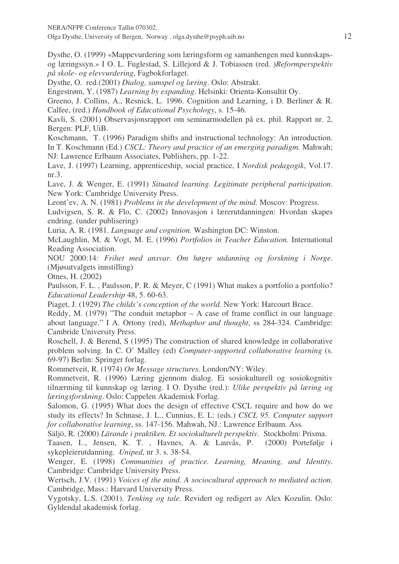NERA/NFPF Conference Tallin 070302.

Olga Dysthe, University of Bergen, Norway . olga.dysthe@psyph.uib.no 12

Dysthe, O. (1999) «Mappevurdering som læringsform og samanhengen med kunnskapsog læringssyn.» I O. L. Fuglestad, S. Lillejord & J. Tobiassen (red. )*Reformperspektiv på skole- og elevvurdering*, Fagbokforlaget.

Dysthe, O. red.(2001) *Dialog, samspel og læring*. Oslo: Abstrakt.

Engestrøm, Y. (1987) *Learning by expanding*. Helsinki: Orienta-Konsultit Oy.

Greeno, J. Collins, A., Resnick, L. 1996. Cognition and Learning, i D. Berliner & R. Calfee, (red.) *Handbook of Educational Psychology*, s. 15-46.

Kavli, S. (2001) Observasjonsrapport om seminarmodellen på ex. phil. Rapport nr. 2, Bergen: PLF, UiB.

Koschmann, T. (1996) Paradigm shifts and instructional technology: An introduction. In T. Koschmann (Ed.) *CSCL: Theory and practice of an emerging paradigm.* Mahwah; NJ: Lawrence Erlbaum Associates, Publishers, pp. 1-22.

Lave, J. (1997) Learning, apprenticeship, social practice, I *Nordisk pedagogik*, Vol.17. nr.3.

Lave, J. & Wenger, E. (1991) *Situated learning. Legitimate peripheral participation*. New York: Cambridge University Press.

Leont'ev, A. N. (1981) *Problems in the development of the mind.* Moscov: Progress.

Ludvigsen, S. R. & Flo, C. (2002) Innovasjon i lærerutdanningen: Hvordan skapes endring. (under publisering)

Luria, A. R. (1981. *Language and cognition.* Washington DC: Winston.

McLaughlin, M. & Vogt, M. E. (1996) *Portfolios in Teacher Education.* International Reading Association.

NOU 2000:14*: Frihet med ansvar. Om høgre utdanning og forskning i Norge.* (Mjøsutvalgets innstilling)

Otnes, H. (2002)

Paulsson, F. L. , Paulsson, P. R. & Meyer, C (1991) What makes a portfolio a portfolio? *Educational Leadership* 48, 5. 60-63.

Piaget, J. (1929) *The childs's conception of the world.* New York: Harcourt Brace.

Reddy, M. (1979) "The conduit metaphor – A case of frame conflict in our language about language." I A. Ortony (red), *Methaphor and thought*, ss 284-324. Cambridge: Cambride University Press.

Roschell, J. & Berend, S (1995) The construction of shared knowledge in collaborative problem solving. In C. O' Malley (ed) *Computer-supported collaborative learning* (s. 69-97) Berlin: Springer forlag.

Rommetveit, R. (1974) *On Message structures.* London/NY: Wiley.

Rommetveit, R. (1996) Læring gjennom dialog. Ei sosiokulturell og sosiokognitiv tilnærming til kunnskap og læring. I O. Dysthe (red.): *Ulike perspektiv på læring og læringsforskning*. Oslo: Cappelen Akademisk Forlag.

Salomon, G. (1995) What does the design of effective CSCL require and how do we study its effects? In Schnase, J. L., Cunnius, E. L: (eds.) *CSCL 95. Computer support for collaborative learning*, ss. 147-156. Mahwah, NJ.: Lawrence Erlbaum. Ass.

Säljö, R. (2000) *Lärande i praktiken. Et sociokulturelt perspektiv.* Stockholm: Prisma.

Taasen, I.., Jensen, K. T. , Havnes, A. & Lauvås, P. (2000) Portefølje i sykepleierutdanning. *Uniped*, nr 3. s. 38-54.

Wenger, E. (1998) *Communities of practice. Learning, Meaning, and Identity*. Cambridge: Cambridge University Press.

Wertsch, J.V. (1991) *Voices of the mind. A sociocultural approach to mediated action.* Cambridge, Mass.: Harvard University Press.

Vygotsky, L.S. (2001). *Tenking og tale.* Revidert og redigert av Alex Kozulin. Oslo: Gyldendal akademisk forlag.